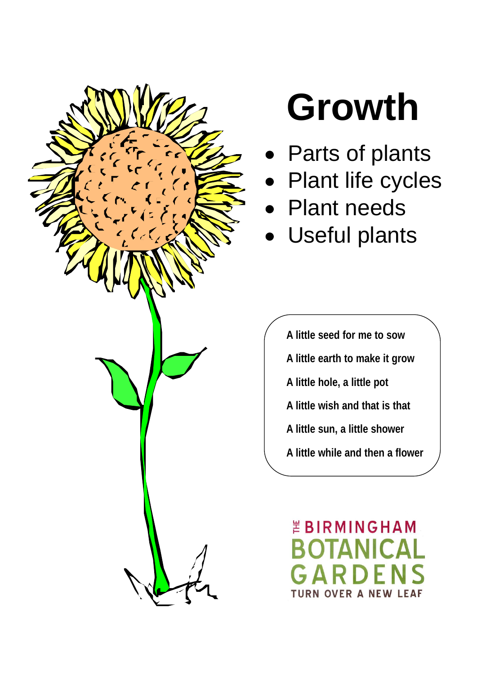

# **Growth**

- Parts of plants
- Plant life cycles
- Plant needs
- Useful plants

**A little seed for me to sow A little earth to make it grow A little hole, a little pot A little wish and that is that A little sun, a little shower A little while and then a flower**

*EBIRMINGHAM* **ER A NEW LEAF**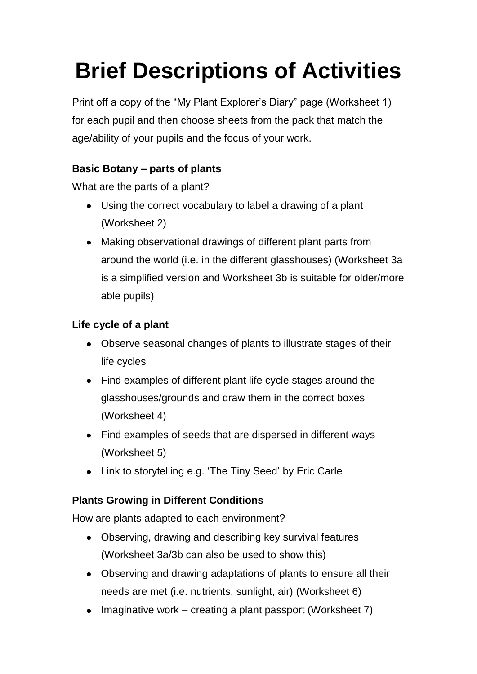# **Brief Descriptions of Activities**

Print off a copy of the "My Plant Explorer's Diary" page (Worksheet 1) for each pupil and then choose sheets from the pack that match the age/ability of your pupils and the focus of your work.

### **Basic Botany – parts of plants**

What are the parts of a plant?

- Using the correct vocabulary to label a drawing of a plant (Worksheet 2)
- Making observational drawings of different plant parts from around the world (i.e. in the different glasshouses) (Worksheet 3a is a simplified version and Worksheet 3b is suitable for older/more able pupils)

### **Life cycle of a plant**

- Observe seasonal changes of plants to illustrate stages of their life cycles
- Find examples of different plant life cycle stages around the glasshouses/grounds and draw them in the correct boxes (Worksheet 4)
- Find examples of seeds that are dispersed in different ways (Worksheet 5)
- Link to storytelling e.g. 'The Tiny Seed' by Eric Carle

## **Plants Growing in Different Conditions**

How are plants adapted to each environment?

- Observing, drawing and describing key survival features (Worksheet 3a/3b can also be used to show this)
- Observing and drawing adaptations of plants to ensure all their needs are met (i.e. nutrients, sunlight, air) (Worksheet 6)
- Imaginative work creating a plant passport (Worksheet 7)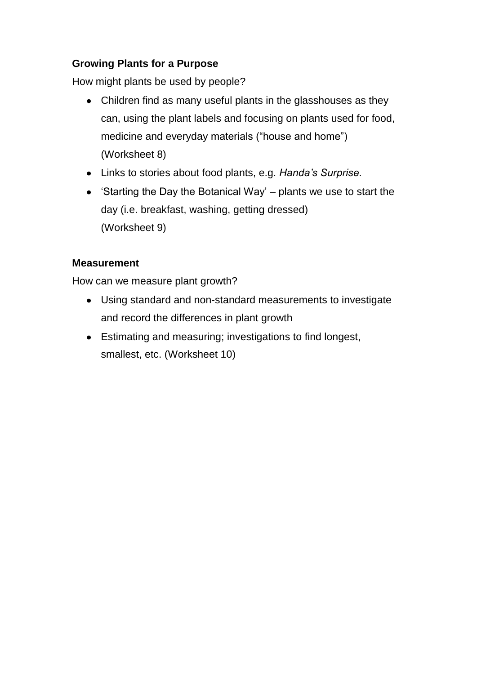#### **Growing Plants for a Purpose**

How might plants be used by people?

- Children find as many useful plants in the glasshouses as they can, using the plant labels and focusing on plants used for food, medicine and everyday materials ("house and home") (Worksheet 8)
- Links to stories about food plants, e.g. *Handa's Surprise.*
- 'Starting the Day the Botanical Way' plants we use to start the day (i.e. breakfast, washing, getting dressed) (Worksheet 9)

#### **Measurement**

How can we measure plant growth?

- Using standard and non-standard measurements to investigate and record the differences in plant growth
- Estimating and measuring; investigations to find longest, smallest, etc. (Worksheet 10)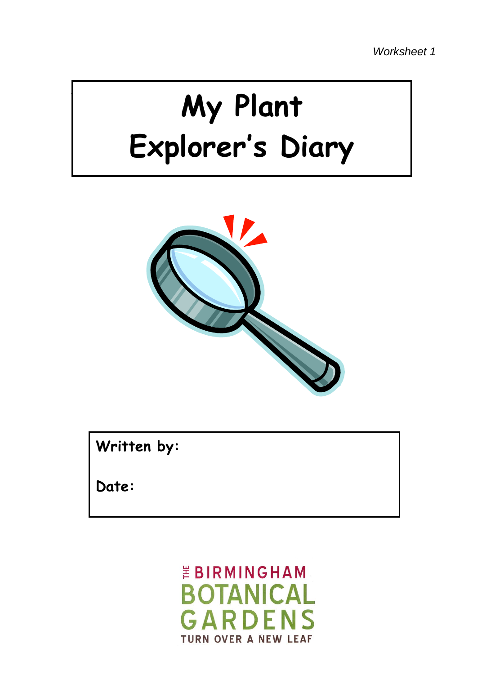# **My Plant Explorer's Diary**



**Written by:** 

**Date:**

*EBIRMINGHAM* **BOTANICAL** GARDFNS **TURN OVER A NEW LEAF**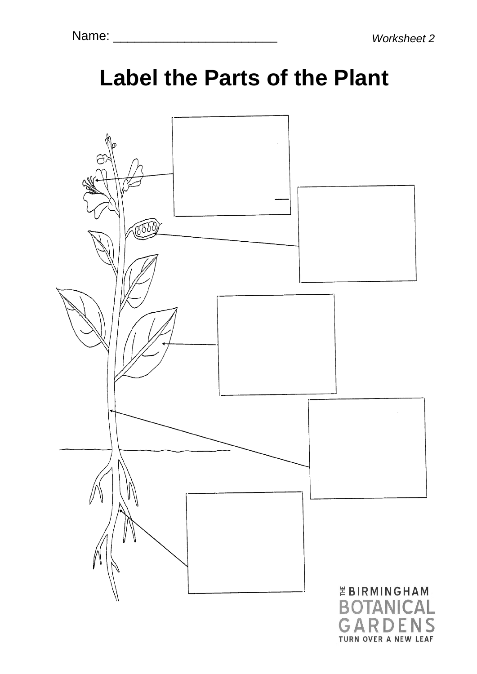## **Label the Parts of the Plant**

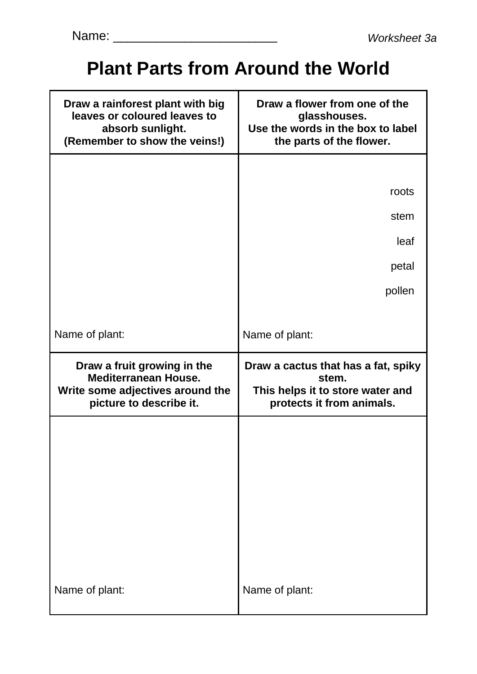## **Plant Parts from Around the World**

| roots<br>stem<br>leaf<br>petal<br>pollen<br>Name of plant:                                                    |
|---------------------------------------------------------------------------------------------------------------|
|                                                                                                               |
|                                                                                                               |
|                                                                                                               |
|                                                                                                               |
|                                                                                                               |
|                                                                                                               |
|                                                                                                               |
|                                                                                                               |
| Draw a cactus that has a fat, spiky<br>stem.<br>This helps it to store water and<br>protects it from animals. |
| Name of plant:                                                                                                |
|                                                                                                               |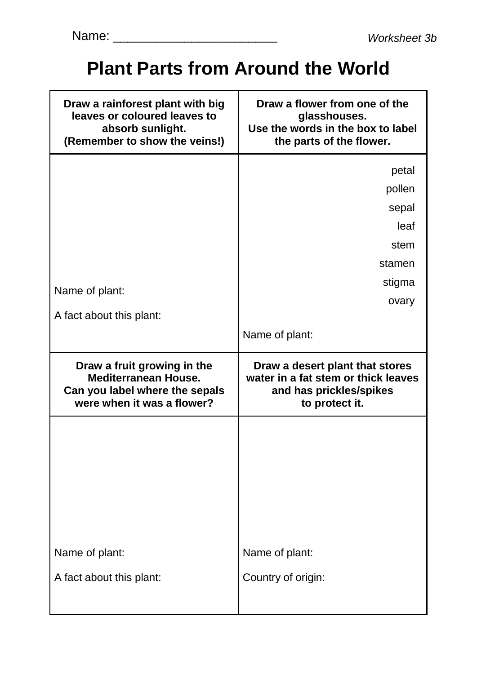## **Plant Parts from Around the World**

| Draw a rainforest plant with big<br>leaves or coloured leaves to<br>absorb sunlight.<br>(Remember to show the veins!)      | Draw a flower from one of the<br>glasshouses.<br>Use the words in the box to label<br>the parts of the flower.      |
|----------------------------------------------------------------------------------------------------------------------------|---------------------------------------------------------------------------------------------------------------------|
| Name of plant:                                                                                                             | petal<br>pollen<br>sepal<br>leaf<br>stem<br>stamen<br>stigma                                                        |
| A fact about this plant:                                                                                                   | ovary<br>Name of plant:                                                                                             |
|                                                                                                                            |                                                                                                                     |
| Draw a fruit growing in the<br><b>Mediterranean House.</b><br>Can you label where the sepals<br>were when it was a flower? | Draw a desert plant that stores<br>water in a fat stem or thick leaves<br>and has prickles/spikes<br>to protect it. |
|                                                                                                                            |                                                                                                                     |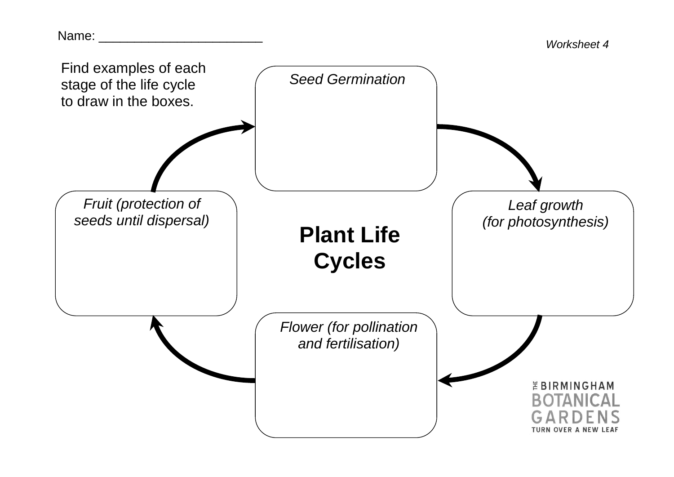Name:  $\blacksquare$ 

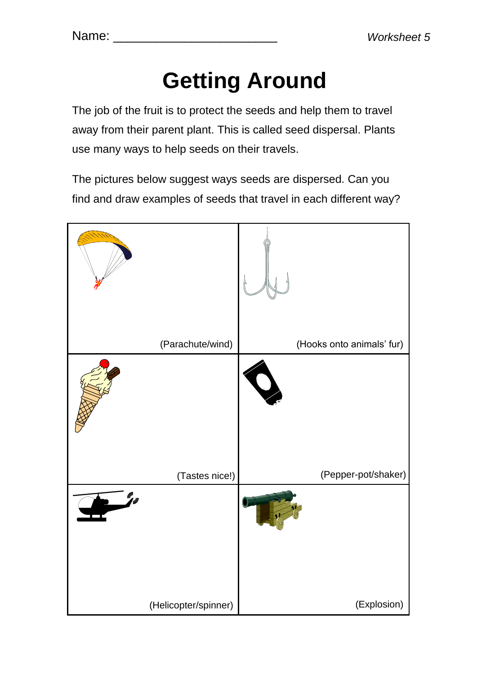# **Getting Around**

The job of the fruit is to protect the seeds and help them to travel away from their parent plant. This is called seed dispersal. Plants use many ways to help seeds on their travels.

The pictures below suggest ways seeds are dispersed. Can you find and draw examples of seeds that travel in each different way?

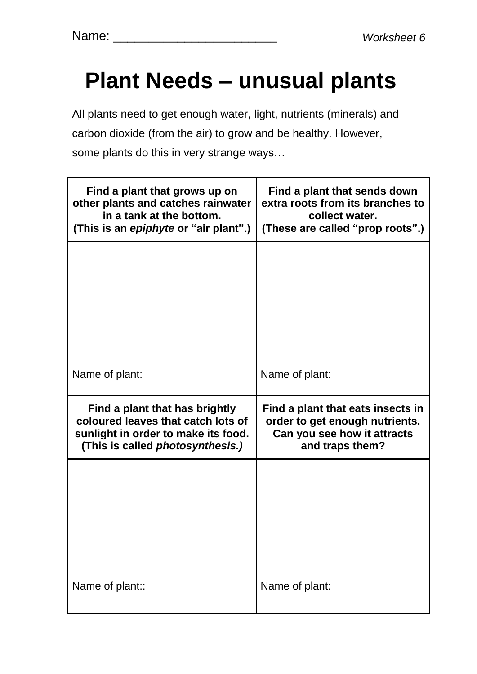# **Plant Needs – unusual plants**

All plants need to get enough water, light, nutrients (minerals) and carbon dioxide (from the air) to grow and be healthy. However, some plants do this in very strange ways…

| Find a plant that grows up on<br>other plants and catches rainwater<br>in a tank at the bottom.<br>(This is an epiphyte or "air plant".)               | Find a plant that sends down<br>extra roots from its branches to<br>collect water.<br>(These are called "prop roots".) |
|--------------------------------------------------------------------------------------------------------------------------------------------------------|------------------------------------------------------------------------------------------------------------------------|
|                                                                                                                                                        |                                                                                                                        |
|                                                                                                                                                        |                                                                                                                        |
| Name of plant:                                                                                                                                         | Name of plant:                                                                                                         |
|                                                                                                                                                        |                                                                                                                        |
| Find a plant that has brightly<br>coloured leaves that catch lots of<br>sunlight in order to make its food.<br>(This is called <i>photosynthesis.)</i> | Find a plant that eats insects in<br>order to get enough nutrients.<br>Can you see how it attracts<br>and traps them?  |
|                                                                                                                                                        |                                                                                                                        |
|                                                                                                                                                        |                                                                                                                        |
|                                                                                                                                                        |                                                                                                                        |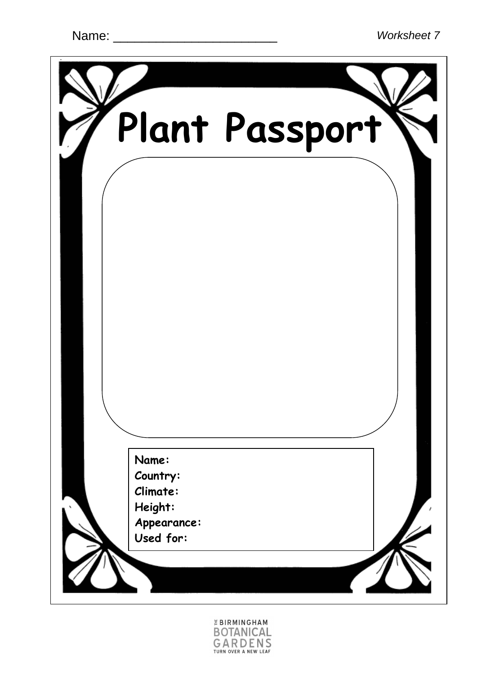

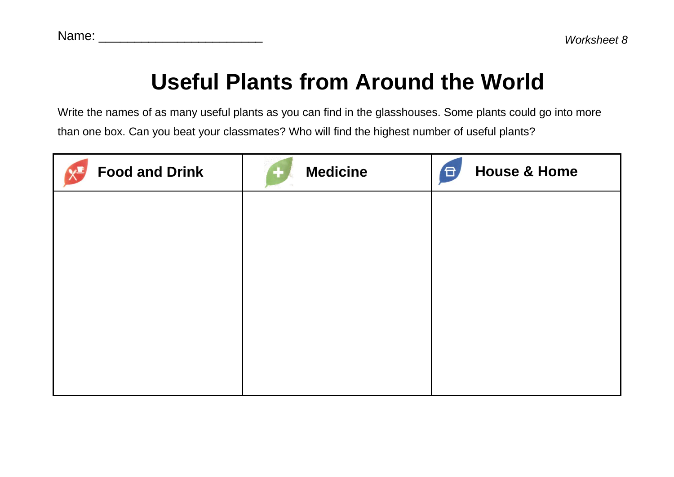## **Useful Plants from Around the World**

Write the names of as many useful plants as you can find in the glasshouses. Some plants could go into more than one box. Can you beat your classmates? Who will find the highest number of useful plants?

| <b>Food and Drink</b> | <b>Medicine</b> | <b>House &amp; Home</b><br><b>日</b> |
|-----------------------|-----------------|-------------------------------------|
|                       |                 |                                     |
|                       |                 |                                     |
|                       |                 |                                     |
|                       |                 |                                     |
|                       |                 |                                     |
|                       |                 |                                     |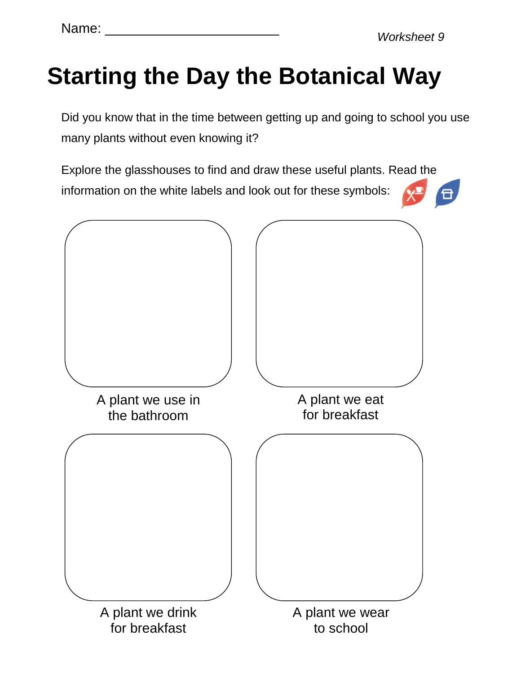# **Starting the Day the Botanical Way**

Did you know that in the time between getting up and going to school you use many plants without even knowing it?

Explore the glasshouses to find and draw these useful plants. Read the information on the white labels and look out for these symbols:  $\sqrt{d}$ 

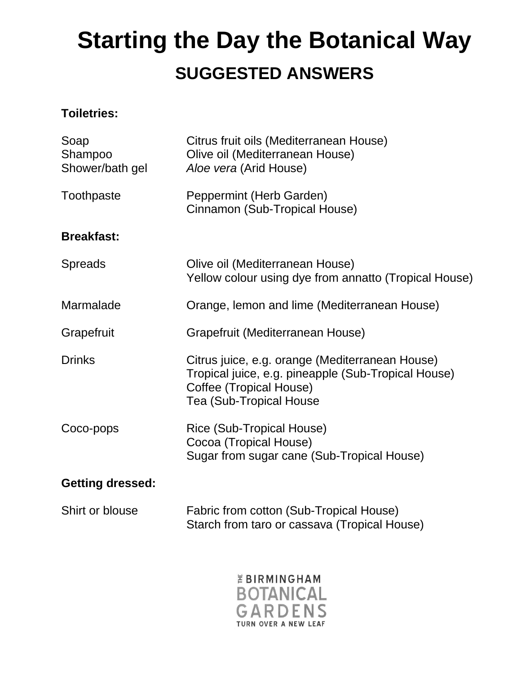## $\mathsf{A}$ **Starting the Day the Botanical Way SUGGESTED ANSWERS**

#### **Toiletries:**

| Soap<br>Shampoo<br>Shower/bath gel | Citrus fruit oils (Mediterranean House)<br>Olive oil (Mediterranean House)<br>Aloe vera (Arid House)                                                                |
|------------------------------------|---------------------------------------------------------------------------------------------------------------------------------------------------------------------|
| Toothpaste                         | Peppermint (Herb Garden)<br>Cinnamon (Sub-Tropical House)                                                                                                           |
| <b>Breakfast:</b>                  |                                                                                                                                                                     |
| <b>Spreads</b>                     | Olive oil (Mediterranean House)<br>Yellow colour using dye from annatto (Tropical House)                                                                            |
| Marmalade                          | Orange, lemon and lime (Mediterranean House)                                                                                                                        |
| Grapefruit                         | Grapefruit (Mediterranean House)                                                                                                                                    |
| <b>Drinks</b>                      | Citrus juice, e.g. orange (Mediterranean House)<br>Tropical juice, e.g. pineapple (Sub-Tropical House)<br>Coffee (Tropical House)<br><b>Tea (Sub-Tropical House</b> |
| Coco-pops                          | Rice (Sub-Tropical House)<br>Cocoa (Tropical House)<br>Sugar from sugar cane (Sub-Tropical House)                                                                   |
| <b>Getting dressed:</b>            |                                                                                                                                                                     |
| Shirt or blouse                    | Fabric from cotton (Sub-Tropical House)                                                                                                                             |



Starch from taro or cassava (Tropical House)